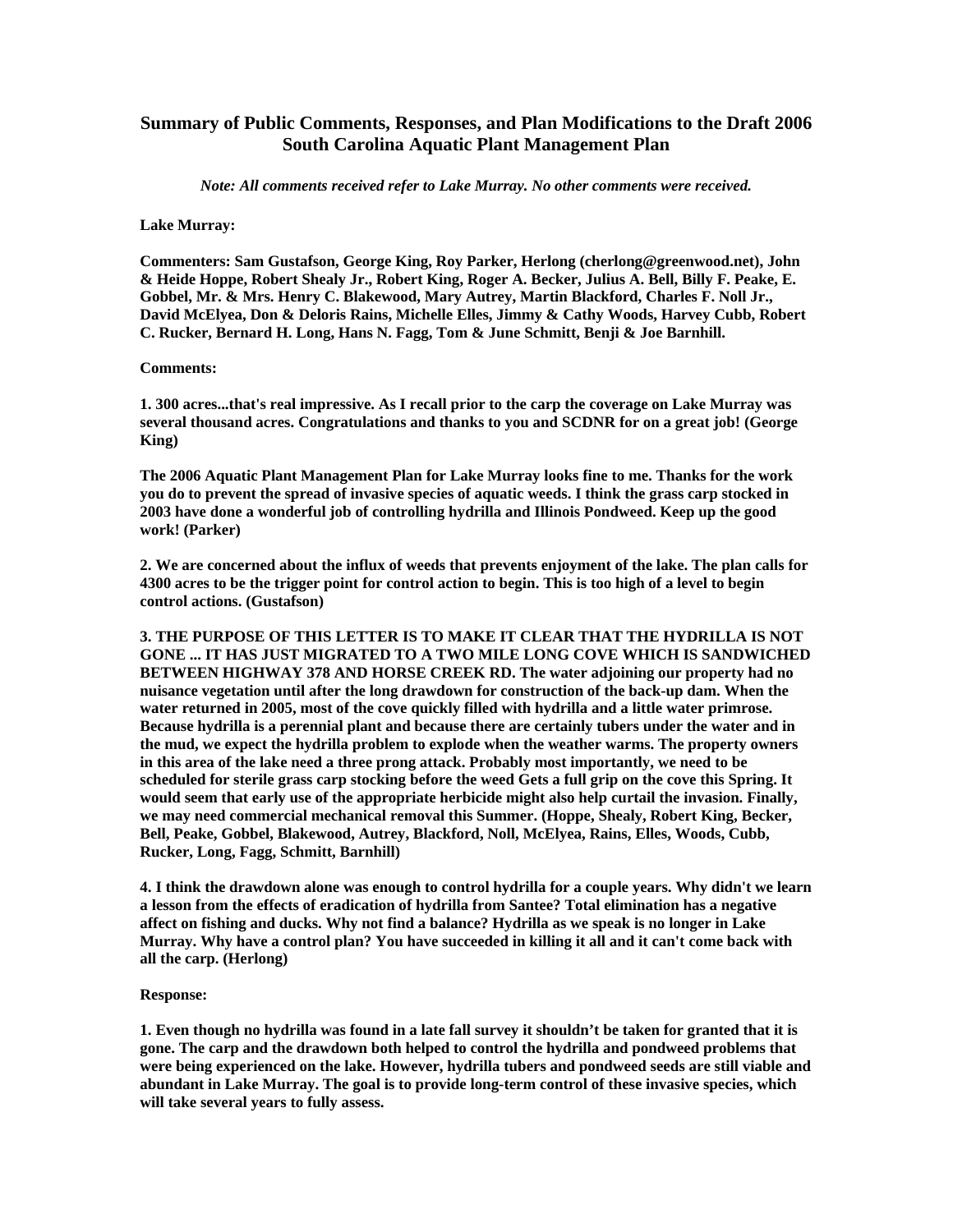## **Summary of Public Comments, Responses, and Plan Modifications to the Draft 2006 South Carolina Aquatic Plant Management Plan**

*Note: All comments received refer to Lake Murray. No other comments were received.*

## **Lake Murray:**

**Commenters: Sam Gustafson, George King, Roy Parker, Herlong (cherlong@greenwood.net), John & Heide Hoppe, Robert Shealy Jr., Robert King, Roger A. Becker, Julius A. Bell, Billy F. Peake, E. Gobbel, Mr. & Mrs. Henry C. Blakewood, Mary Autrey, Martin Blackford, Charles F. Noll Jr., David McElyea, Don & Deloris Rains, Michelle Elles, Jimmy & Cathy Woods, Harvey Cubb, Robert C. Rucker, Bernard H. Long, Hans N. Fagg, Tom & June Schmitt, Benji & Joe Barnhill.** 

## **Comments:**

**1. 300 acres...that's real impressive. As I recall prior to the carp the coverage on Lake Murray was several thousand acres. Congratulations and thanks to you and SCDNR for on a great job! (George King)** 

**The 2006 Aquatic Plant Management Plan for Lake Murray looks fine to me. Thanks for the work you do to prevent the spread of invasive species of aquatic weeds. I think the grass carp stocked in 2003 have done a wonderful job of controlling hydrilla and Illinois Pondweed. Keep up the good work! (Parker)** 

**2. We are concerned about the influx of weeds that prevents enjoyment of the lake. The plan calls for 4300 acres to be the trigger point for control action to begin. This is too high of a level to begin control actions. (Gustafson)** 

**3. THE PURPOSE OF THIS LETTER IS TO MAKE IT CLEAR THAT THE HYDRILLA IS NOT GONE ... IT HAS JUST MIGRATED TO A TWO MILE LONG COVE WHICH IS SANDWICHED BETWEEN HIGHWAY 378 AND HORSE CREEK RD. The water adjoining our property had no nuisance vegetation until after the long drawdown for construction of the back-up dam. When the water returned in 2005, most of the cove quickly filled with hydrilla and a little water primrose. Because hydrilla is a perennial plant and because there are certainly tubers under the water and in the mud, we expect the hydrilla problem to explode when the weather warms. The property owners in this area of the lake need a three prong attack. Probably most importantly, we need to be scheduled for sterile grass carp stocking before the weed Gets a full grip on the cove this Spring. It would seem that early use of the appropriate herbicide might also help curtail the invasion. Finally, we may need commercial mechanical removal this Summer. (Hoppe, Shealy, Robert King, Becker, Bell, Peake, Gobbel, Blakewood, Autrey, Blackford, Noll, McElyea, Rains, Elles, Woods, Cubb, Rucker, Long, Fagg, Schmitt, Barnhill)** 

**4. I think the drawdown alone was enough to control hydrilla for a couple years. Why didn't we learn a lesson from the effects of eradication of hydrilla from Santee? Total elimination has a negative affect on fishing and ducks. Why not find a balance? Hydrilla as we speak is no longer in Lake Murray. Why have a control plan? You have succeeded in killing it all and it can't come back with all the carp. (Herlong)** 

## **Response:**

**1. Even though no hydrilla was found in a late fall survey it shouldn't be taken for granted that it is gone. The carp and the drawdown both helped to control the hydrilla and pondweed problems that were being experienced on the lake. However, hydrilla tubers and pondweed seeds are still viable and abundant in Lake Murray. The goal is to provide long-term control of these invasive species, which will take several years to fully assess.**